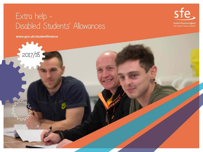### Extra help - Disabled Students' Allowances



www.gov.uk/studentfinance

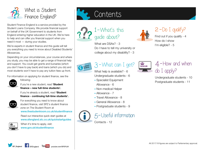

Student Finance England is a service provided by the Student Loans Company. We provide financial support on behalf of the UK Government to students from England entering higher education in the UK. We're here to help and can offer you financial support when you need it most — during your studies.

We're experts in student finance and this guide will tell you everything you need to know about Disabled Students' Allowances.

Depending on your circumstances, your course and where you study, you may be able to get a range of financial help and support. You could get grants and bursaries (which you don't have to pay back) and loans (which you do) and most students won't have to pay any tuition fees up front.

For information on applying for student finance, see the following:

If you're a new student, read 'Student finance – new full-time students'.

If you're already a student, read 'Student finance - continuing full-time students'.



For everything you need to know about student finance, visit SFE's student finance zone on The Student Room at www.thestudentroom.co.uk/studentfinance

Read our interactive quick start guides at www.sfengland.slc.co.uk/quickstartguides

You Tube youtube.com/SFEFILM



/SF\_England

When it's time to apply, visit: **GOV.UK**<br>WWW.gov.uk/studentfinance

SFEngland





What are DSAs? - 3 Do I have to tell my university or college about my disability? - 3



 $2 - Do I$  qualify?

Find out if you qualify - 4 How do I show I'm eligible? - 5



### 3 - What can I get?

- What help is available? 6 Undergraduate students - 6
- Specialist Equipment Allowance - 6
- Non-medical Helper
- Allowance 7
- Travel Allowance 8
- General Allowance 8
- Postgraduate students 9



5- Useful information

Contacts - 12





Undergraduate students - 10 Postgraduate students - 11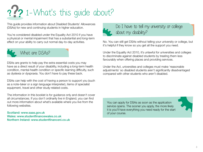# ?? 1-What's this guide about?

This guide provides information about Disabled Students' Allowances (DSAs) for new and continuing students in higher education.

You're considered disabled under the Equality Act 2010 if you have a physical or mental impairment that has a substantial and long-term effect on your ability to carry out normal day-to-day activities.



DSAs are grants to help pay the extra essential costs you may have as a direct result of your disability, including a long-term health condition, mental-health condition or specific learning difficulty, such as dyslexia or dyspraxia. You don't have to pay these back.

DSAs can help with the cost of having a person to support you (such as a note-taker or a sign language interpreter), items of specialist equipment, travel and other study-related costs.

The information in this booklet is for guidance only and doesn't cover all circumstances. If you don't ordinarily live in England, you can find out more information about what's available where you live from the following websites.

Scotland: www.saas.gov.uk Wales: www.studentfinancewales.co.uk Northern Ireland: www.studentfinanceni.co.uk



Do I have to tell my university or college about my disability?

No. You can still get DSAs without telling your university or college, but it's helpful if they know so you get all the support you need.

Under the Equality Act 2010, it's unlawful for universities and colleges to discriminate against disabled students by treating them less favourably when offering places and providing services.

Under the Act, universities and colleges must make 'reasonable adjustments' so disabled students aren't significantly disadvantaged compared with other students who aren't disabled.

You can apply for DSAs as soon as the application service opens. The sooner you apply, the more likely it is you'll have everything you need ready for the start of your course.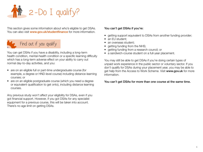

This section gives some information about who's eligible to get DSAs. You can also visit www.gov.uk/studentfinance for more information.



You can get DSAs if you have a disability, including a long-term health condition, mental-health condition or a specific learning difficulty which has a long-term adverse effect on your ability to carry out normal day-to-day activities, and you:

- are on an eligible full or part-time undergraduate course (for example, a degree or HND-level course) including distance-learning courses; or
- are on an eligible postgraduate course (which you need a degree or equivalent qualification to get onto), including distance learning courses.

Any previous study won't affect your eligibility for DSAs, even if you got financial support. However, if you got DSAs for any specialist equipment for a previous course, this will be taken into account. There's no age limit on getting DSAs.

#### You can't get DSAs if you're:

- getting support equivalent to DSAs from another funding provider;
- an EU student;
- an overseas student;
- getting funding from the NHS;
- getting funding from a research council; or
- a sandwich-course student on a full-year placement.

You may still be able to get DSAs if you're doing certain types of unpaid work experience in the public sector or voluntary sector. If you don't qualify for DSAs during your placement year, you may be able to get help from the Access to Work Scheme. Visit www.gov.uk for more information.

#### You can't get DSAs for more than one course at the same time.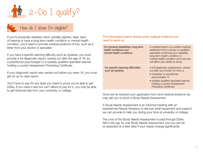

### How do I show I'm eligible?

If you're physically disabled, blind, partially sighted, deaf, hard of hearing or have a long-term health condition or mental-health condition, you'll need to provide medical evidence of this, such as a letter from your doctor or specialist.

If you have a specific learning difficulty such as dyslexia, you must provide a full diagnostic report, carried out after the age of 16, by a practitioner psychologist or a suitably qualified specialist teacher holding a current Assessment Practising Certificate.

If your diagnostic report was carried out before you were 16, you must get an up-to-date report.

You'll have to pay for any tests you need to prove you're able to get DSAs. If you need a test but can't afford to pay for it, you may be able to get financial help from your university or college.

#### The information below shows what medical evidence you need to send us.

| For physical disabilities, long-term<br>health conditions and<br>mental-health conditions | A medical report or a written medical<br>statement from a doctor or qualified<br>specialist confirming your disability,<br>long-term health condition or<br>mental-health condition and how this<br>will affect your ability to study. |
|-------------------------------------------------------------------------------------------|----------------------------------------------------------------------------------------------------------------------------------------------------------------------------------------------------------------------------------------|
| For specific learning difficulties<br>such as dyslexia                                    | A full diagnostic assessment, carried<br>out after you turned 16, from a:<br>• chartered or practitioner<br>psychologist; or<br>· suitably qualified specialist teacher<br>holding a current Assessment<br>Practising Certificate.     |

Once we've received your application form and medical evidence we may ask you to book a Study Needs Assessment.

A Study Needs Assessment is an informal meeting with an experienced Needs Assessor to discuss what equipment and support we can provide to help you during your time at university or college.

The cost of the Study Needs Assessment is paid through DSAs. We'll only pay for one Study Needs Assessment, but you can be re-assessed at a later date if your needs change significantly.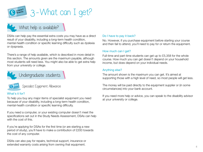

### What help is available?

DSAs can help pay the essential extra costs you may have as a direct result of your disability, including a long-term health condition, mental-health condition or specific learning difficulty such as dyslexia or dyspraxia.

There's a range of help available, which is described in more detail in this section. The amounts given are the maximum payable, although most students will need less. You might also be able to get extra help from your university or college.

Undergraduate students



Specialist Equipment Allowance

### What's it for?

To help you buy any major items of specialist equipment you need because of your disability, including a long-term health condition, mental-health condition or specific learning difficulty.

If you need a computer, or your existing computer doesn't meet the specifications set out in the Study Needs Assessment, DSAs can help with the cost of this.

If you're applying for DSAs for the first time (or are starting a new period of study), you'll have to make a contribution of £200 towards the cost of any computer.

DSAs can also pay for repairs, technical support, insurance or extended warranty costs arising from owning that equipment.

#### Do I have to pay it back?

No. However, if you purchase equipment before starting your course and then fail to attend, you'll need to pay for or return the equipment.

#### How much can I get?

Full-time and part-time students can get up to £5,358 for the whole course. How much you can get doesn't depend on your household income, but does depend on your individual needs.

#### Anything else?

The amount shown is the maximum you can get. It's aimed at supporting those with a high level of need, so most people will get less.

The money will be paid directly to the equipment supplier or (in some circumstances) into your bank account.

If you need more help or advice, you can speak to the disability advisor at your university or college.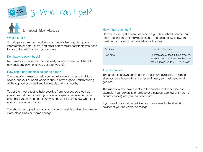



#### What's it for?

To help pay for support workers (such as readers, sign language interpreters or note-takers) and other non-medical assistants you need to use to benefit fully from your course.

#### Do I have to pay it back?

No, unless you leave your course early, in which case you'll have to pay back any payments you got after you left.

#### How can a non-medical helper help me?

The type of non-medical help you get will depend on your individual needs, but your support workers should have a good understanding of the support you need and be reliable and trustworthy.

To get the most effective help possible from your support worker, you should let them know if you have any specific requirements, for example if you have a note taker you should let them know what font and text size is best for you.

You should also give them a copy of your timetable and let them know if any class times or rooms change.

#### How much can I get?

How much you get doesn't depend on your household income, but does depend on your individual needs. The table below shows the maximum amount of help available for this year.

| Full time | Up to $£21,305$ a year.                                                                                                |
|-----------|------------------------------------------------------------------------------------------------------------------------|
| Part time | A percentage of the full-time amount,<br>depending on how intensive the part-<br>time course is, up to £15,978 a year. |

#### Anything else?

The amounts shown above are the maximum available. It's aimed at supporting those with a high level of need, so most people will get less.

The money will be paid directly to the supplier of the service (for example, your university or college or a support agency) or (in some circumstances) into your bank account.

If you need more help or advice, you can speak to the disability advisor at your university or college.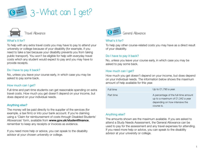



#### What's it for?

To help with any extra travel costs you may have to pay to attend your university or college because of your disability (for example, if you need to take a taxi because your disability prevents you from taking public transport). You won't be eligible for help with everyday travel costs which any student would expect to pay and you may have to provide receipts.

#### Do I have to pay it back?

No, unless you leave your course early, in which case you may be asked to pay some back.

#### How much can I get?

Full-time and part-time students can get reasonable spending on extra travel costs. How much you get doesn't depend on your income, but does depend on your individual needs.

#### Anything else?

The money will be paid directly to the supplier of the services (for example, a taxi firm) or into your bank account. If you're claiming using a 'Claim for reimbursement of costs through Disabled Students' Allowances' form, available from www.gov.uk/studentfinance, remember to keep any receipts or invoices as evidence.

If you need more help or advice, you can speak to the disability advisor at your chosen university or college.



#### What's it for?

To help pay other course-related costs you may have as a direct result of your disability.

#### Do I have to pay it back?

No, unless you leave your course early, in which case you may be asked to pay some back.

#### How much can I get?

How much you get doesn't depend on your income, but does depend on your individual needs. The information below shows the maximum amount of help available for this year.

| Full time | Up to $£1,790$ a year.                                                                                                   |
|-----------|--------------------------------------------------------------------------------------------------------------------------|
| Part time | A percentage of the full-time amount<br>up to a maximum of £1,342 a year<br>depending on how intensive the<br>course is. |

#### Anything else?

The amounts shown are the maximum available. If you are asked to attend a Study Needs Assessment, the General Allowance can be used to pay for the assessment and any travel expenses for attending. If you need more help or advice, you can speak to the disability advisor at your university or college.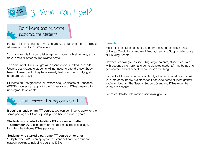

For full-time and part-time postgraduate students

For both full-time and part-time postgraduate students there's a single allowance of up to £10,652 a year.

You can use this for specialist equipment, non-medical helpers, extra travel costs or other course-related costs.

The amount of DSAs you get will depend on your individual needs. Usually, postgraduate students will not need to attend a new Study Needs Assessment if they have already had one when studying at undergraduate level.

Students on Postgraduate (or Professional) Certificate of Education (PGCE) courses can apply for the full package of DSAs awarded to undergradute students.



If you're already on an ITT course, you can continue to apply for the same package of DSAs support you've had in previous years.

#### Students who started a full-time ITT course on or after

1 September 2010 can apply for the full-time support package, including the full-time DSAs package.

#### Students who started a part-time ITT course on or after

1 September 2010 can apply for the standard part-time student support package, including part-time DSAs.

#### **Benefits**

Most full-time students can't get income-related benefits such as Universal Credit, income-based Employment and Support Allowance or Housing Benefit.

However, certain groups (including single parents, student couples with dependent children and some disabled students) may be able to get income-related benefits while they're studying.

Jobcentre Plus and your local authority's Housing Benefit section will take into account any Maintenance Loan (and some student grants) you're entitled to. The Special Support Grant and DSAs won't be taken into account.

For more detailed information visit www.gov.uk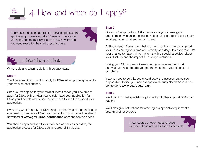

## 4- How and when do I apply?

Apply as soon as the application service opens as the application process can take 14 weeks. The sooner you apply, the more likely it is you'll have everything you need ready for the start of your course.



Undergraduate students

What to do and when to do it in three easy steps!

#### Step 1

You'll be asked if you want to apply for DSAs when you're applying for your main student finance.

Once you've applied for your main student finance you'll be able to apply for DSAs online. After you've submitted your application for DSAs you'll be told what evidence you need to send to support your application.

If you only want to apply for DSAs and no other type of student finance, you need to complete a DSA1 application form which you'll be able to download at **www.gov.uk/studentfinance** once the service opens.

You should apply and send your evidence as early as possible, the application process for DSAs can take around 14 weeks.

#### Step 2

Once you've applied for DSAs we may ask you to arrange an appointment with an Independent Needs Assessor to find out exactly what equipment and support you need.

A Study Needs Assessment helps us work out how we can support your needs during your time at university or college. It's not a test – it's your chance to have an informal chat with a specialist advisor about your disability and the impact it has on your studies.

During your Study Needs Assessment your assessor will work out what you need to help you get the most from your time at uni or college.

If we ask you to do this, you should book this assessment as soon as possible. To find your nearest approved Study Needs Assessment centre go to www.dsa-qag.org.uk

### Step 3

We'll confirm what specialist equipment and other support DSAs can pay for.

We'll also give instructions for ordering any specialist equipment or arranging other support.

> If your course or your needs change, you should contact us as soon as possible.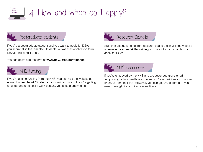

## GOV.UK 4- How and when do I apply?



If you're a postgraduate student and you want to apply for DSAs, you should fill in the Disabled Students' Allowances application form (DSA1) and send it to us.

You can download the form at www.gov.uk/studentfinance



If you're getting funding from the NHS, you can visit the website at www.nhsbsa.nhs.uk/Students for more information. If you're getting an undergraduate social work bursary, you should apply to us.



Research Councils

Students getting funding from research councils can visit the website at www.rcuk.ac.uk/skills/training for more information on how to apply for DSAs.



If you're employed by the NHS and are seconded (transferred temporarily) onto a healthcare course, you're not eligible for bursaries or DSAs from the NHS. However, you can get DSAs from us if you meet the eligibility conditions in section 2.